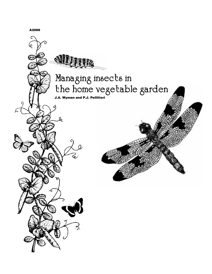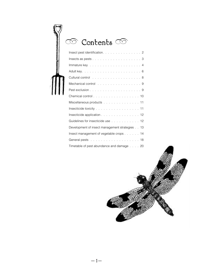| Contents $\subset$                                                                                                                                                                                                                             |    |
|------------------------------------------------------------------------------------------------------------------------------------------------------------------------------------------------------------------------------------------------|----|
| Insect pest identification. 2                                                                                                                                                                                                                  |    |
| Insects as pests $\ldots$ 3                                                                                                                                                                                                                    |    |
| Immature key $\ldots$ 4                                                                                                                                                                                                                        |    |
|                                                                                                                                                                                                                                                |    |
|                                                                                                                                                                                                                                                |    |
| Mechanical control 9                                                                                                                                                                                                                           |    |
|                                                                                                                                                                                                                                                |    |
|                                                                                                                                                                                                                                                |    |
| Miscellaneous products 11                                                                                                                                                                                                                      |    |
| Insecticide toxicity entertainment and the set of the set of the set of the set of the set of the set of the s                                                                                                                                 |    |
| Insecticide application 12                                                                                                                                                                                                                     |    |
| Guidelines for insecticide use 12                                                                                                                                                                                                              |    |
| Development of insect management strategies 13                                                                                                                                                                                                 |    |
| Insect management of vegetable crops 14                                                                                                                                                                                                        |    |
| General pests<br>. The contract of the contract of the contract of the contract of the contract of the contract of the contract of the contract of the contract of the contract of the contract of the contract of the contract of the contrac | 18 |

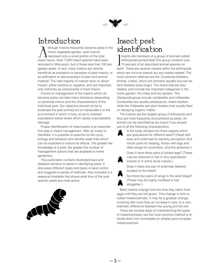

## <span id="page-2-0"></span>Introduction

Ithough insects frequently become pests in the home vegetable garden, pest insects represent only a small portion of the total insect fauna. Over 7,000 insect species have been recorded in Wisconsin, but of these less than 100 are garden pests. In fact, many insects are directly beneficial as predators or parasites of pest insects, or as pollinators or decomposers of plant and animal material. The vast majority of insects have no direct impact, either positive or negative, and are important only indirectly as components in food chains.

Control or management of the insects which do become pests can take many directions depending on personal choice and the characteristics of the individual pest. Our objective should not be to eradicate the pest entirely but to manipulate it or the environment in which it lives, so as to maintain populations below levels which cause unacceptable damage.

Proper identification of insect pests is an essential first step in insect management. After an insect is identified, it is possible to examine its life cycle, biology and behavior and identify weak links which can be exploited to reduce its effects. The greater the knowledge of a pest, the greater the number of management options that are available to home gardeners.

This publication contains illustrated keys and detailed narrative to assist in identifying pests. It discusses different styles and types of pest control and suggests a variety of methods. Also included is a seasonal timetable that shows what time of the year specific pests are most active.



## Insect pest identification

Insects are members of a group of animals called<br>Arthropoda (jointed-feet) this group contains over<br>75 percent of all described animal species on<br>earth. There are several classes within the arthropods nsects are members of a group of animals called Arthropoda (jointed-feet) this group contains over 75 percent of all described animal species on which are not true insects but are closely related. The most common relatives are the *Crustacea* (lobsters, shrimp, crabs), which are primarily aquatic but can be land dwellers (sow bugs). The Arachnida are also related, and include two important categories in the home garden, the mites and the spiders. The Diplopoda group include centipedes and millipedes. Centipedes are usually predaceous, insect feeders, while the millipedes are plant feeders that usually feed on decaying organic matter.

The insects are the largest group of arthropods and thus are most frequently encountered as pests. An animal can be identified as an insect if you answer yes to all the following characteristics.



Is the body divided into three regions which are specialized for different tasks? (Head with eyes and antennae for sensory perception and mouth parts for feeding, thorax with legs and often wings for locomotion, and the abdomen.)

Does it have three pairs of jointed legs? (These may be reduced or lost in very specialized insects or in some larval insects.)



Does it have one pair of antennae (feelers) located on the head?

Are there two pairs of wings in the adult stage? (These may be highly modified or lost altogether.)

Most insects change from the time they hatch from eggs until they are full grown. This change in form is called metamorphosis. It may be a gradual change, involving little more than an increase in size, to a very dramatic difference between the young and the old.

There are several ways of characterizing the types of metamorphosis, but the most common method is to divide them into incomplete (or simple) and complete metamorphosis.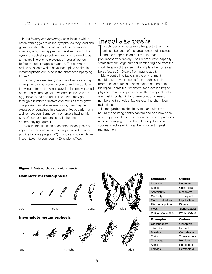<span id="page-3-0"></span>In the *incomplete metamorphosis*, insects which hatch from eggs are called nymphs. As they feed and grow they shed their skins, or molt. In the winged species, wings first appear as pad-like buds on the nymphs. Each stage between molts is referred to as an instar. There is no prolonged "resting" period before the adult stage is reached. The common orders of insects which have incomplete or simple metamorphosis are listed in the chart accompanying figure 1.

The complete metamorphosis involves a very major change in form between the young and the adult. In the winged forms the wings develop internally instead of externally. The typical development involves the egg, larva, pupa and adult. The larvae may go through a number of instars and molts as they grow. The pupae may take several forms; they may be exposed or contained in a capsule-like puparium or in a silken cocoon. Some common orders having this type of development are listed in the chart accompanying figure 1.

To assist identification of common insect pests of vegetable gardens, a pictorial key is included in this publication (see pages 4–7). If you cannot identify an insect, take it to your county Extension office.

## Insects as pests

Insects become pests more frequently than other<br>animals because of the large number of species<br>and their unparalleled ability to increase<br>populations very rapidly. Their reproductive capacity nsects become pests more frequently than other animals because of the large number of species and their unparalleled ability to increase stems from the large number of offspring and from the short life span of the insect. A complete life cycle can be as fast as 7–10 days from egg to adult.

Many controlling factors in the environment combine to prevent insects from reaching their reproductive potential. These factors can be both biological (parasites, predators, food availability) or physical (rain, frost, pesticides). The biological factors are most important in long-term control of insect numbers, with physical factors exerting short-lived reductions.

Home gardeners should try to manipulate the naturally occurring control factors and add new ones, where appropriate, to maintain insect pest populations at non-damaging levels. The following discussion suggests factors which can be important in pest management.



### **Figure 1.** Metamorphosis of various insects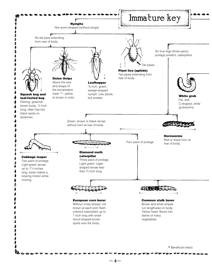<span id="page-4-0"></span>

— 4 —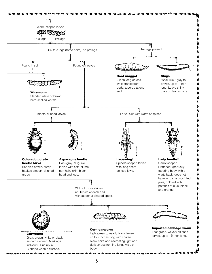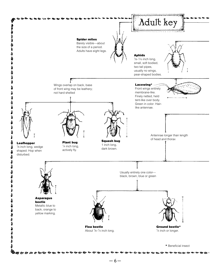<span id="page-6-0"></span>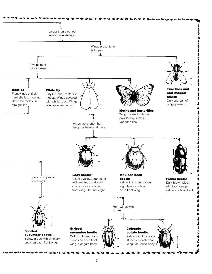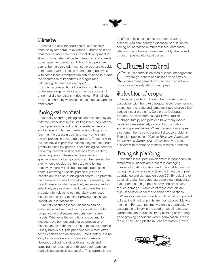

### <span id="page-8-0"></span>Climate

Insects are cold-blooded and thus drastically affected by temperature extremes. Extreme cold and heat reduce insect numbers. Insect development is slow or non-existent at low temperatures and speeds up at higher temperatures. Although temperature cannot be manipulated, it can serve as a useful guide to the rate at which insects reach damaging levels. With some insects temperature can be used to predict the occurrence of important life stages (see calculating degree days on page 13).

Some pests need humid conditions to thrive (cutworms, slugs) while others may be successful under hot dry conditions (thrips, mites). Rainfall often provides control by washing insects (such as aphids) from plants.

## Biological control

Naturally occurring biological controls can play an extremely important role in limiting insect populations. Insect predators including lady beetle larvae and adults, lacewing larvae, predacious sucking bugs (such as the assassin bug) and many others are always present in a vegetable garden. Together with the less obvious parasitic insects they can contribute greatly to a healthy garden. These biological controls frequently prevent pest populations from reaching damaging levels. These effects are seldom spectacular and often go unnoticed. Remember that even when biological controls are functioning effectively there will still be a residual population of pests. Removing all pests, particularly with an insecticide, will disrupt biological control. To promote the natural activities of predators and parasites, use insecticides only when absolutely necessary and as selectively as possible. Introducing parasites and predators by releasing commercially purchased insects such as lady beetle or praying mantis has limited value in Wisconsin.

Naturally occurring insect diseases can be extremely effective in reducing populations. Both fungal and viral diseases are common in some insects. Whenever the conditions are optimal for disease development and a large population of insects occurs at the same time, a disease epidemic usually breaks out. This phenomenon is most often seen in aphids and caterpillars. Unfortunately, it is not easy to manipulate such disease occurrence. However, collecting sick or dying insects and spraying their crushed and diluted body parts on plants is occasionally successful. This approach has

no effect unless the insects are infected with a disease. You can identify a diseased population by seeing an increased number of insect carcasses where some of the carcasses are moldy, discolored, or decomposing into liquid tissue.

## Cultural control

ultural control is an area of insect management where gardeners can utilize a wide array of crop management approaches to effectively disrupt or adversely affect insect pests.

## Selection of crops

Crops vary widely in the number of insect pests associated with them. Asparagus, beets, green or wax beans, carrots, peas and tomatoes have relatively few serious insect problems. Cole crops (cabbage, broccoli, brussels sprouts, cauliflower, radish, rutabaga, turnip) and potatoes have many insect pests and are extremely difficult to grow without sustaining some losses. When choosing crop types, also remember to consider plant disease problems. Extension publication Disease-Resistant Vegetables for the Home Garden (A3110) will help you select cultivars with resistance to many disease problems.

## Timing of planting

Because insect pest development is dependent on temperature, insects are present in damaging numbers for relatively short and predictable periods during the growing season (see the timetable of pest abundance and damage on page 20). By delaying or advancing planting dates, gardeners can frequently avoid periods of high pest activity and drastically reduce damage. Examples of these controls are discussed later under the specific crop sections.

When avoidance of insects is difficult, it is important to keep the time that plants are most susceptible to a minimum. For example, many plants are particularly susceptible to injury in the seed or seedling stages. Gardeners can reduce injury by planting only during good growing conditions, when germination is most rapid, or by using plastic mulches to hasten growth.

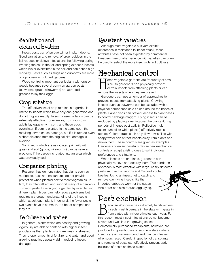## <span id="page-9-0"></span>Sanitation and clean cultivation

Insect pests can often overwinter in plant debris. Good sanitation and removal of crop residues in the fall reduces or delays infestations the following spring. Working the soil in the fall and spring exposes insects which live or overwinter in the soil and can cause high mortality. Pests such as slugs and cutworms are more of a problem in mulched gardens.

Weed control is important particularly with grassy weeds because several common garden pests (cutworms, grubs, wireworms) are attracted to grasses to lay their eggs.

### Crop rotation

The effectiveness of crop rotation in a garden is limited to insects which have only one generation and do not migrate readily. In such cases, rotation can be extremely effective. For example, corn rootworm adults lay eggs only in corn, and these eggs overwinter. If corn is planted in the same spot, the resulting larvae cause damage, but if it is rotated even a short distance from the original site, damage is avoided.

Soil insects which are associated primarily with grass and sod (grubs, wireworms) can be severe problems if the garden is rotated into an area which was previously sod.

## Companion planting

Research has demonstrated that plants such as marigolds, basil and nasturtiums do not provide protection when planted next to most vegetables. In fact, they often attract and support many of a garden's common pests. Diversifying a garden by interplanting different plant types can help reduce problems but requires a thorough understanding of the insects which attack each plant. In general, the fewer pests two plants have in common, the better companions they are.

### Fertilizer and water

In general, plants which are healthy and growing vigorously are able to contend with higher insect populations than plants which are weak or stressed. Thus, proper amounts of fertilizer and water and good growing practices usually aid in reducing insect damage.

### Resistant varieties

Although most vegetable cultivars exhibit differences in resistance to insect attack, these attributes have not been exploited by commercial breeders. Personal experience with varieties can often be used to select the more insect-tolerant cultivars.

## Mechanical control

Tome vegetable gardens are frequently of small size, so gardeners can physically prevent  $\blacktriangle$  certain insects from attacking plants or can remove the insects when they are present.

Gardeners can use a number of approaches to prevent insects from attacking plants. Crawling insects such as cutworms can be excluded with a physical barrier such as a tin can around the bases of plants. Paper discs can prevent access to plant bases to control cabbage maggot. Flying insects can be excluded by placing a netting over the plants during periods of intense pest activity. Reflective mulch (aluminum foil or white plastic) effectively repels aphids. Colored traps such as yellow bowls filled with soapy water can attract insects away from plants and drown them. These controls are given as examples. Gardeners often successfully devise new mechanical controls or adapt existing ones to suit individual preferences and situations.

When insects are on plants, gardeners can physically remove and destroy them. This hands-on approach is most effective with large, easily detected pests such as hornworms and Colorado potato beetles. Using an insect net to catch and remove day-flying insects like the imported cabbage worm or the squash vine borer can also reduce egg laying.

## Pest exclusion

ecause Wisconsin has extremely harsh winters, insects must hibernate in the state or migrate in from states with milder climates each year. For this reason, most insect infestations do not become severe until well into the growing season. Commercially purchased transplants, however, are produced in greenhouses or southern states where insects are active year-round and may be infested when purchased. Careful inspection of transplants and removal of pests can effectively prevent early buildups of pests on these plants.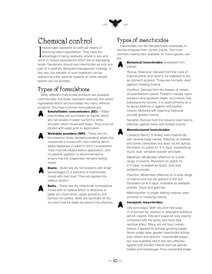

## <span id="page-10-0"></span>Chemical control

Insecticides represent an artificial means of<br>reducing insect populations. They have the<br>advantage of being relatively simple to use and<br>quick to reduce populations which are at damaging nsecticides represent an artificial means of reducing insect populations. They have the  $\blacksquare$  advantage of being relatively simple to use and levels. Gardeners should use insecticides as only one part of a carefully designed management strategy. In this way, the benefits of such materials can be realized and the adverse impacts on other natural factors can be avoided.

## Types of formulations

Many different insecticidal products are available commercially, but these represent relatively few active ingredients which are formulated into many different products. The most common formulations are:



**Emulsifiable concentrates (EC)**—These insecticides are purchased as liquids which are not soluble in water but form a white emulsion when mixed with water. They must be diluted with water prior to application.

**Wettable powders (WP)**—These are dry formulations (finely divided powders) where the insecticide is mixed with inert material which easily disperses in water to form a suspension. They must be diluted before application, and occasional agitation is recommended to ensure that the suspension remains evenly mixed.



**Dusts**—Dusts are dry formulations with small percentages (2–5 percent) of insecticides mixed with inert dust. They are applied dry without dilution.

**Baits**—These are dry insecticide formulations mixed with a material which is attractive to pests as a food (bran, apple pomace) and formed into pellets. Baits are sprinkled on the soil and must be eaten by pests to be effective.

## Types of insecticides

Insecticides can be manufactured chemically or can be extracted from certain plants. The most common insecticides available for home garden use are:



#### **Botanical insecticides** (extracted from plants)

Ryania, Rotenone: Derived from the roots of tropical plants and need to be ingested to act as stomach poisons. These are normally used against chewing insects.

Pyrethrin: Derived from the flowers of certain chrysanthemum plants. Pyrethrin causes rapid paralysis and apparent death, but insects may subsequently recover. It is used primarily as a fly spray additive or against soft-bodied insects. Mixtures with piperonyl butoxide provide greater control.

Nicotine: Derived from the tobacco plant and is effective against some soft-bodied insects.

#### **Manufactured insecticides**

Carbaryl (Sevin): A widely used insecticide with several trade names. Effective on beetles and some caterpillars but does not kill aphids. Persistent on plants for 4–5 days. Available as liquid, dust, wettable powder and baits.

Malathion: Moderately effective on a wide range of insects. Persistent on plants for 2–3 days. Available as liquid, dust and wettable powder.

Diazinon: Moderately effective on a wide range of insects and can be applied to the soil. Persistent for 4–5 days. Available as wettable powder, liquid and granular.

Methoxychlor: A longer lasting material used primarily on chewing insects.

#### **Inorganic insecticides**

Oils and soaps: Both oils and mild soap (1–2 percent by volume) or detergent solutions will kill insects. Oils and soaps kill only insects contacted with the spray and have little residual effect. Many oils will burn certain tissues if applied to actively growing plants. Some soaps have greater insecticidal activity than others and specific "insecticidal soaps" are now available which are very effective against soft-bodied insects such as aphids, scales and mealybugs. Pure unscented soaps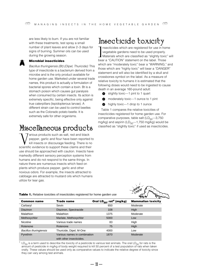<span id="page-11-0"></span>are less likely to burn. If you are not familiar with these treatments, test spray a small number of plant leaves and allow 2–3 days for signs of burning. Summer oils can be used during the growing season.

#### **Microbial insecticides**

Bacillus thuringiensis (Bt) (Dipel, Thuricide): This type of insecticide is a bacterium derived from a microbe and is the only product available for home garden use. Marketed under several trade names, this product is actually a formulation of bacterial spores which contain a toxin. Bt is a stomach poison which causes gut paralysis when consumed by certain insects. Its action is extremely specific, being effective only against true caterpillars (lepidopterous larvae). A different strain can be used to control beetles such as the Colorado potato beetle. It is extremely safe for other organisms.

## Miscellaneous products

arious products such as salt, red and black pepper, garlic and flour have been reported to kill insects or discourage feeding. There is no scientific evidence to support these claims and their use should be approached with caution. Insects have markedly different sensory perception systems from humans and do not respond to the same things. In nature there are numerous insects which feed on plants which produce pepper, garlic and other noxious odors. For example, the insects attracted to cabbage are attracted to mustard oils which humans utilize for tear gas.

## Insecticide toxicity

Insecticides which are registered for use in how vegetable gardens need to be used properly.<br>
Materials which are classified as "slightly toxic bear a "CAUTION" statement on the label. Those nsecticides which are registered for use in home vegetable gardens need to be used properly. Materials which are classified as "slightly toxic" will which are "moderately toxic" bear a "WARNING," and those which are "highly toxic" will bear a "DANGER" statement and will also be identified by a skull and crossbones symbol on the label. As a measure of relative toxicity to humans it is estimated that the following doses would need to be ingested to cause death in an average 160-pound adult:

- $\bullet$  slightly toxic—1 pint to 1 quart
- moderately toxic—1 ounce to 1 pint
- highly toxic—1 drop to 1 ounce

Table 1 compares the relative toxicities of insecticides registered for home garden use. For comparative purposes, table salt  $(LD_{50}$ —3,750 mg/kg) and aspirin ( $LD_{50}$ —1,750 mg/kg) would be classified as "slightly toxic" if used as insecticides.



**Table 1.** Relative toxicities of insecticides registered for home garden use

|                               |                                                          |                                                  | , , .<br>$\sim$           |
|-------------------------------|----------------------------------------------------------|--------------------------------------------------|---------------------------|
| <b>Common name</b>            | <b>Trade name</b>                                        | Oral LD <sub>50</sub> , rat <sup>a</sup> (mg/kg) | <b>Mammalian toxicity</b> |
| Carbaryl                      | Sevin                                                    | 650                                              | Moderate                  |
| <b>Diazinon</b>               | Diazinon, Spectracide                                    | 108                                              | High                      |
| Malathion                     | <b>Malathion</b>                                         | 1375                                             | Moderate                  |
| Methoxychlor                  | Marlate, Methoxychlor                                    | 5000                                             | Low                       |
| Nicotine                      | Various trade names                                      | 83                                               | High                      |
| Rotenone                      | Rotenone                                                 | 75                                               | High                      |
| <b>Bacillus thuringiensis</b> | Thuricide, Dipel, M-One                                  | 4000                                             | Low                       |
| Pyrethrin                     | Various names in combination<br>with other insecticides. | 1870                                             | Moderate                  |

 $LD_{50}$  is a term used to describe the toxicity of a pesticide to various test animals. The oral  $LD_{50}$  for rats is the amount of pesticide in mg/kg of body weight required to kill 50 percent of a test population of rats when taken orally. These values should be used only as comparative values to indicate the relative degree of toxicity since they can vary among test animals.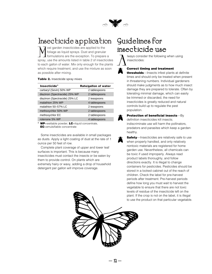

## <span id="page-12-0"></span>Insecticide application Guidelines for

Most garden insecticides are applied to the foliage as liquid sprays. Dust and granula formulations are the exception. To prepare spray, use the amounts listed in table 2 of insect foliage as liquid sprays. Dust and granular formulations are the exception. To prepare a spray, use the amounts listed in table 2 of insecticides to each gallon of water. Mix only enough for the plants which require treatment, and use the mixture as soon as possible after mixing.

#### **Table 2.** Insecticide spray mixes

| Insecticide <sup>a</sup>      | <b>Rate/gallon of water</b> |  |
|-------------------------------|-----------------------------|--|
| carbaryl (Sevin) 50% WP       | 2 tablespoons               |  |
| diazinon (Spectracide) 25% WP | 2 tablespoons               |  |
| diazinon (Spectracide) 25% LC | 2 teaspoons                 |  |
| malathion 25% WP              | 4 tablespoons               |  |
| malathion 50-57% LC           | 2 teaspoons                 |  |
| methoxychlor 50% WP           | 2 tablespoons               |  |
| methoxychlor EC               | 2 tablespoons               |  |
| rotenone 5% WP                | 4 tablespoons               |  |

<sup>a</sup> **WP**=wettable powder, **LC**=liquid concentrate, **EC**=emulsifiable concentrate

Some insecticides are available in small packages as dusts. Apply a light coating of dust at the rate of 1 ounce per 50 feet of row.

Complete plant coverage of upper and lower leaf surfaces is important. This is because many insecticides must contact the insects or be eaten by them to provide control. On plants which are extremely hairy or waxy, adding a drop of household detergent per gallon will improve coverage.

# insecticide use

lways consider the following when using insecticides:

#### **Correct timing and treatment**

**thresholds**—Insects infest plants at definite times and should only be treated when present in threatening numbers. Individual gardeners should make judgments as to how much insect damage they are prepared to tolerate. Often by tolerating minimal damage, which can easily be trimmed or discarded, the need for insecticides is greatly reduced and natural controls build up to regulate the pest population.

**Protection of beneficial insects**—By definition insecticides kill insects; indiscriminate use will harm the pollinators, predators and parasites which keep a garden healthy.

**Safety**—Insecticides are relatively safe to use when properly handled, and only relatively nontoxic materials are registered for home garden use. Nevertheless, all chemicals can be toxic if used improperly. Always read product labels thoroughly, and follow directions exactly. It is illegal to change containers for pesticides. Pesticides should be stored in a locked cabinet out of the reach of children. Check the label for pre-harvest periods after treatment. Pre-harvest periods define how long you must wait to harvest the vegetable to ensure that there are not toxic levels of residue of the insecticide left on the plant. If the crop is not on the label, it is illegal to use the product on that particular vegetable.

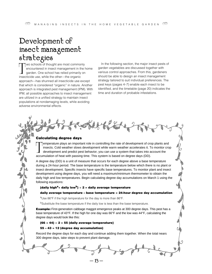# <span id="page-13-0"></span>Development of insect management strategies

Two schools of thought are most common encountered in insect management in the garden. One school has relied primarily insecticide use, while the other—the organic wo schools of thought are most commonly encountered in insect management in the home garden. One school has relied primarily on approach—has shunned all insecticide use except that which is considered "organic" in nature. Another approach is integrated pest management (IPM). With IPM, all possible approaches to insect management are utilized in a unified strategy to maintain insect populations at nondamaging levels, while avoiding adverse environmental effects.

In the following section, the major insect pests of garden vegetables are discussed together with various control approaches. From this, gardeners should be able to design an insect management strategy tailored to suit individual preferences. The pest keys (pages 4–7) enable each insect to be identified, and the timetable (page 20) indicates the time and duration of probable infestations.

#### **Calculating degree days**

The merature plays an important role in controlling the rate of development of crossness. Cold weather slows development while warm weather accelerates it. The development and predict pest behavior, you can use a system th emperature plays an important role in controlling the rate of development of crop plants and insects. Cold weather slows development while warm weather accelerates it. To monitor crop development and predict pest behavior, you can use a system that takes into account the

A degree day (DD) is a unit of measure that occurs for each degree above a base temperature during a 24-hour period. The base temperature is the temperature below which there is no plant or insect development. Specific insects have specific base temperatures. To monitor plant and insect development using degree days, you will need a maximum/minimum thermometer to obtain the daily high and low temperatures. Begin calculating degree day accumulations on March 1 using the following equations:

#### **(daily higha+ daily lowb) ÷ 2 = daily average temperature**

#### **daily average temperature – base temperature = 24-hour degree day accumulation**

aUse 86°F if the high temperature for the day is more than 86°F.

<sup>b</sup>Substitute the base temperature if the daily low is less than the base temperature.

**Example:** First-generation cabbage maggot emergence peaks at 300 degree days. This pest has a base temperature of 43°F. If the high for one day was 66°F and the low was 44°F, calculating the degree days would look like this:

#### **(66 + 44) ÷ 2 = 55 (daily average temperature)**

#### **55 – 43 = 12 (degree day accumulation)**

Record the degree days for each day and continue adding them together. When the total nears 300 degree days, take steps to prevent plant damage.

— 13 —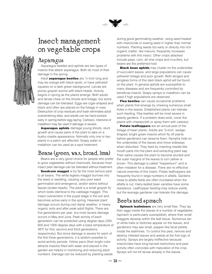

## <span id="page-14-0"></span>Insect management on vegetable crops

## Asparagus

Asparagus beetles and aphids are two types of insects that attack asparagus. Both do most of their damage in the spring.

Adult **asparagus beetles** are <sup>1</sup>/4-inch long and may be orange with black spots, or have yellowish squares on a dark green background. Larvae are plump grayish worms with black heads. Activity begins in spring as the plants emerge. Both adults and larvae chew on the shoots and foliage, but some damage can be tolerated. Eggs are cigar-shaped and black and often are placed on the foliage in rows. Destruction of crop residues and trash eliminates adult overwintering sites, and adults can be hand picked early in spring before egg laying. Carbaryl, rotenone or malathion may be used if damage is severe.

**Asparagus aphids** damage young shoots, stunt growth and cause parts of the plant to take on a bushy rosette appearance. Normally only one or two plants in a patch are affected. Soapy water or malathion can be used as a spot treatment.

## Beans (green, wax, broad, lima)

Beans are a very good choice for people who prefer to grow vegetables without chemicals, because most insect pest damage can be tolerated without treatment.

**Seedcorn maggot** is by far the most serious pest to all beans. The white legless maggot burrows into the seed or seedling, causing very poor seed germination and emergence, and/or stems without leaves (snake heads). The adult is a small grayish fly which looks identical to the cabbage maggot. This insect overwinters in the pupal stage in the soil and becomes active early in the spring. Heaviest plant damage occurs during cool damp weather, in heavy organic soils and after peak adult flights. There are five generations per year, but most severe damage occurs in May and June. Peak activity of each generation can be predicted using degree days (200, 600 and 1000 degree days with a base temperature of 39°F for first, second and third generations, respectively). But since damage is severe for each of the first three generations, it is seldom possible to avoid activity periods. Yellow pans (their bright color attracts insects) filled with water and placed in the garden are helpful in monitoring and reducing adult numbers. Damage can be reduced by planting seeds

during good germinating weather, using seed treated with insecticide or sowing seed in higher than normal numbers. Planting seeds too early or directly into rich organic matter, like manure, frequently increases problems with this insect. Other crops attacked include peas, corn, all vine crops and crucifers, but beans are the preferred host.

**Black bean aphids** may cluster on the undersides of succulent leaves, and large populations can cause yellowish foliage and poor growth. Both winged and wingless forms of this dark black aphid will be found on the plant. In general aphids are susceptible to many diseases and are frequently controlled by beneficial insects. Soapy sprays or malathion can be used if high populations are observed.

**Flea beetles** can cause occasional problems when plants first emerge by chewing numerous small holes in the leaves. Established plants can tolerate such feeding. Flea beetles will be most severe in weedy gardens. If a problem does exist, cover the plants with cheesecloth or spray them with carbaryl.

**Potato leafhoppers** are an annual pest of the foliage of bean plants. Adults are <sup>1</sup>/8-inch, wedgeshaped, bright green insects which fly off plants before gardeners can observe them. Nymphs hide on the undersides of the leaves and move sideways when disturbed. They feed by inserting needle-like mouth parts into the plant and extracting plant sap. Their saliva causes the plant to become stunted and the outer margins of the leaves to turn yellow or brown. This damage is called "hopperburn" and is often mistaken for a disease. There are no effective natural enemies of this insect. Potato leafhoppers are frequently found in large numbers in alfalfa. Gardens close to alfalfa fields are often inundated when the alfalfa is cut. Hairy-leafed bean varieties have some resistance. Leafhopper feeding may reduce yields, but the average gardener can tolerate this damage.

## Beets and spinach

**Spinach leafminers** are very small flies. They lay their eggs inside the leaves of a number of vegetables (spinach is particularly susceptible), where their small maggots develop within the leaf tissue. Numerous tan or white trails or blotches appear on the leaves, and gardeners may see small, pepper-like fecal pellets inside the leafmines. To control this pest, remove and destroy infested leaves and weeds at the first sign of activity. Sprays are largely ineffective because insecticides have long harvest restrictions and pest activity often coincides with maturation of the crop. Sprays will not kill larvae already in the leaves.

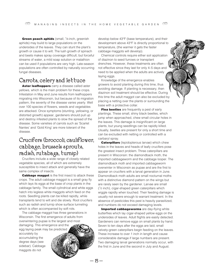Green peach aphids (small, 1/8-inch, greenish aphids) may build to large populations on the undersides of the leaves. They can stunt the plant's growth or cause it to wilt. The lush growth of spinach and beets makes spray coverage difficult, but forceful streams of water, a mild soap solution or malathion can be used if populations are very high. Late-season populations are often controlled by naturally occurring fungal diseases.

### Carrots, celery and lettuce

**Aster leafhoppers** carry a disease called aster yellows, which is the main problem for these crops. Infestation in May and June results from leafhoppers migrating into Wisconsin, but because of its migration pattern, the severity of the disease varies yearly. Well over 100 species of flowers, weeds and vegetables are attacked. Once symptoms (stunting, yellowing, or distorted growth) appear, gardeners should pull up and destroy infested plants to slow the spread of the disease. Some varieties of carrots such as 'Scarlet Nantes' and 'Gold King' are more tolerant of the disease.

## Crucifers (broccoli, cauliflower, cabbage, brussels sprouts, radish, rutabaga, turnip)

Crucifers include a wide range of closely related vegetable species, all of which are extremely susceptible to insect attack and generally have the same complex of insects.

**Cabbage maggot** is the first insect to attack these crops. The adult cabbage maggot is a small gray fly which lays its eggs at the base of crop plants in the cabbage family. The small cylindrical and white eggs hatch into legless white maggots which feed on the roots. Seedling plants can be killed rapidly, while transplants tend to wilt and die slowly. Root crucifers such as radish and turnip show surface tunneling which is often accompanied by soft rots.

The cabbage maggot has three generations in Wisconsin. The first emergence of adults from overwintering pupae is the largest and most damaging. This emergence and the

egg laying peak may be predicted accurately by

accumulating the degree days (see sidebar). Cabbage maggots do not

develop below 43°F (base temperature), and their development above 43°F is directly proportional to temperature, (the warmer it gets the faster cabbage maggots will develop).

Chemical controls require either soil application of diazinon to seed furrows or transplant drenches. However, these treatments are often not effective since they last for only 4–5 days and need to be applied when the adults are actively laying eggs.

Knowledge of the emergence enables growers to avoid planting during this time, thus avoiding damage. If planting is necessary, then diazinon soil treatment should be effective. During this time the adult maggot can also be excluded by placing a netting over the plants or surrounding the base with a protective collar.

**Flea beetles** are frequently a pest of early plantings. These small, shiny black beetles, which jump when approached, chew small circular holes in the leaves. This damage is insignificant on large plants, but young seedlings can be rapidly killed. Usually, beetles are present for only a short time and can be excluded with netting or controlled with a carbaryl spray.

**Caterpillars** (lepidopterous larvae) which chew holes in the leaves and heads of leafy crucifers pose the greatest insect problem. Three caterpillars are present in Wisconsin: the diamondback moth, the imported cabbageworm and the cabbage looper. The diamondback moth and imported cabbageworm overwinter in Wisconsin as pupae and are the first to appear on crucifers with a larval generation in June. Diamondback moth adults are small nocturnal moths with a distinctive diamond pattern on the wings but are rarely seen by the gardener. Larvae are small ( 1⁄2 inch), cigar-shaped green caterpillars which wiggle rapidly when touched. Their feeding damage is usually not severe enough to warrant treatment. In the absence of pesticides this pest is heavily parasitized, and numbers do not exceed damaging levels.

**Imported cabbageworms** are day-flying white butterflies which lay cigar-shaped yellow eggs on the undersides of leaves. Adult flights are easily detected. Gardeners can remove eggs on small plants by hand. Seven to ten days after the eggs are laid, small velvety-green caterpillars begin feeding on the leaves. These increase to over 1 inch in length and cause considerable damage if large numbers are present. Two damaging larval generations normally occur, with the first in June and the second in July and August.

 $-15-$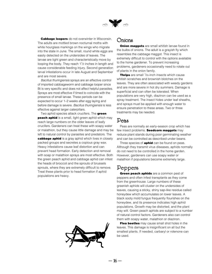

**Cabbage loopers** do not overwinter in Wisconsin. The adults are mottled brown nocturnal moths with white hourglass markings on the wings who migrate into the state in June. The small, round white eggs are easily detected on the undersides of leaves. The larvae are light green and characteristically move by looping the body. They reach  $1\frac{1}{2}$  inches in length and cause considerable feeding injury. Second generation larval infestations occur in late August and September and are most severe.

Bacillus thuringiensis sprays are an effective control of imported cabbageworm and cabbage looper since Bt is very specific and does not affect helpful parasites. Sprays are most effective if timed to coincide with the presence of small larvae. These periods can be expected to occur 1–2 weeks after egg laying and before damage is severe. Bacillus thuringiensis is less effective against larger caterpillars.

Two aphid species attack crucifers. The **green peach aphid** is a small, light green aphid which may reach large numbers on the older leaves of leafy crucifers. Gardeners can treat these with soapy water or malathion, but they cause little damage and may be left to natural control by parasites and predators. The **cabbage aphid** is a gray aphid which lives in closely packed groups and secretes a copious gray wax. Heavy infestations cause leaf distortion and can prevent head formation. Early detection and removal with soap or malathion sprays are most effective. Both the green peach aphid and cabbage aphid can infest the heads of broccoli and the sprouts of brussels sprouts, where they are extremely difficult to remove. Treat these plants prior to head formation if aphid populations are heavy.



### Onions

**Onion maggots** are small whitish larvae found in the bulbs of onions. The adult is a grayish fly which resembles the cabbage maggot. This insect is extremely difficult to control with the options available to the home gardener. To prevent increasing problems, gardeners occasionally need to rotate out of plants in the onion family.

**Thrips** are small <sup>1</sup>/25-inch insects which cause whitish scratches and brownish blotches on the leaves. They are often associated with weedy gardens and are more severe in hot dry summers. Damage is superficial and can often be tolerated. When populations are very high, diazinon can be used as a spray treatment. The insect hides under leaf sheaths, and sprays must be applied with enough water to ensure penetration to these areas. Two or three treatments may be needed.

### Peas

Peas are normally an early-season crop which has few insect problems. **Seedcorn maggots** may reduce plant stands during poor germinating weather and can be controlled as described under beans.

Three species of **aphid** can be found on peas. Although they transmit virus diseases, aphids normally do not need to be controlled in the home garden. However, gardeners can use soapy water or malathion if populations become extremely large.

## Peppers

**Green peach aphids** are a common pest of peppers and often infest transplants as they come from the greenhouse. Large numbers of these greenish aphids will cluster on the undersides of leaves, causing a sticky, shiny sap-like residue called honeydew which accumulates on lower leaves. A black sooty mold fungus frequently flourishes on the honeydew, and its presence indicates high aphid populations. Growth may be distorted, and the plant may wilt. Green peach aphids are subject to a number of natural control factors. Gardeners also can control them with soapy water, malathion or diazinon.

**Flea beetles** may cause small shot holes in the leaves. This damage is insignificant on all but the smallest plants. If needed, carbaryl or rotenone can be used.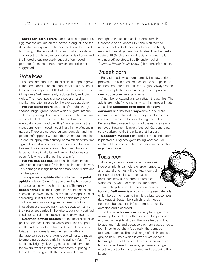**European corn borers** can be a pest of peppers. Egg masses are laid on the leaves in August, and the dirty white caterpillars with dark heads can be found burrowing in the fruits which often rot after infestation. This insect is only active for short periods of time, and the injured areas are easily cut out of damaged peppers. Because of this, chemical control is not suggested.

### Potatoes

Potatoes are one of the most difficult crops to grow in the home garden on an economical basis. Much of the insect damage is subtle but often responsible for killing vines 3–4 weeks early, substantially reducing yields. The insect pests of potatoes are hard to monitor and often missed by the average gardener.

**Potato leafhoppers** are small (<sup>1</sup>/8 inch), wedgeshaped, bright green insects which migrate into the state every spring. Their saliva is toxic to the plant and causes the leaf edges to curl, turn yellow and eventually brown, and die. This "hopperburn" is the most commonly missed insect injury in the Wisconsin garden. There are no good cultural controls, and the potato leafhopper is without effective natural enemies. To control, spray with carbaryl or malathion at the first sign of hopperburn. In severe years, more than one treatment may be necessary. This insect builds to large numbers in alfalfa, and large infestations can occur following the first cutting of alfalfa.

**Potato flea beetles** are small blackish insects which cause numerous  $\frac{1}{6}$ -inch holes in potato leaves. This damage is insignificant on established plants and can be ignored.

Two species of **aphids** attack potatoes. The **potato aphid** is a large (<sup>1</sup>/8 inch), green or red aphid seen on the succulent new growth of the plant. The **green peach aphid** is a smaller greenish aphid most often seen on the lower leaves. They both are responsible for spreading virus diseases. These aphids rarely need control unless plants are grown for seed stock or infestations are exceedingly heavy. Because many of the viruses are carried in the tubers, plant only certified seed stock, and do not replant home-grown tubers.

**Colorado potato beetles** are the most distinctive pest of potatoes. Both the yellow and black striped adults and the brick-red humped larvae feed on the foliage. They normally feed on new growth and damage can be severe. Adults overwinter and move to emerging potatoes early in the spring (May). The adults lay bright yellow egg masses, and larvae feed for several weeks in the summer before pupating in the soil. Emerging adults then continue feeding

throughout the season until no vines remain. Gardeners can successfully hand pick them to achieve control. Colorado potato beetle is highly resistant to most garden insecticides. Use the beetle strain of Bt (M-One) or plant resistant (genetically engineered) potatoes. See Extension bulletin Colorado Potato Beetle (A3678) for more information.

### Sweet corn

Early-planted sweet corn normally has few serious problems. This is because most of the corn pests do not become abundant until mid-August. Always rotate sweet corn plantings within the garden to prevent **corn rootworm** larval problems.

A number of caterpillars can attack the ear tips. The adults are night-flying moths which first appear in late June. The **European corn borer**, the **corn earworm** and the **fall armyworm** are all more common in late-planted corn. They usually lay their eggs on leaves or in the developing corn silks. Because the damaged portion of the ear is so easily removed, treatment is rarely justified. Gardeners can spray carbaryl while the silks are still green.

**Seedcorn maggots** can reduce the stand if corn is planted during cool germinating weather. For control of this pest, see the discussion in this section regarding beans.

### Tomatoes

A variety of **aphids** may affect tomatoes. However, plants can tolerate large numbers, and natural enemies will eventually control their populations. In extreme cases, gardeners may use a forceful stream of water, soapy water or malathion for control.

Two caterpillars can be found on tomatoes. The **tomato fruitworm** is a brownish to green caterpillar which bores into ripening fruit. It is a late-season pest (late August–September) which rarely needs treatment because the infested fruits are easily detected and discarded.

The **tomato hornworm** is a very large greenish worm (up to 3 inches) with a spine on the posterior end and white side stripes. The larva feeds on both foliage and fruit, and because each larva eats three to four times its weight in food daily, the damage appears dramatic. The adult stage of this insect is a grayish hawk moth which is often mistaken for a hummingbird as it feeds on flowers. Because of its large size and small numbers, gardeners can get effective control by hand picking and destroying the larvae.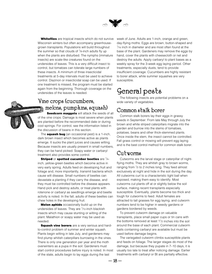

<span id="page-18-0"></span>**Whiteflies** are tropical insects which do not survive Wisconsin winters but often accompany greenhousegrown transplants. Populations will build throughout the summer so that clouds of  $\frac{1}{6}$ -inch adults fly up when the plants are disturbed. The nymphs (immature insects) are scale-like creatures found on the undersides of leaves. This is a very difficult insect to control, but tomatoes can tolerate large numbers of these insects. A minimum of three insecticidal treatments at 5-day intervals must be used to achieve control. Diazinon or insecticidal soap can be used. If one treatment is missed, the program must be started again from the beginning. Thorough coverage on the undersides of the leaves is needed.

## Vine crops (cucumbers, melons, pumpkins, squash)

**Seedcorn maggots** will attack the seeds of all of the vine crops. Damage is most severe when plants are planted before the recommended date or during cool springs. For control, see the information listed in the discussion of beans in this section.

The **squash bug** (an occasional pest) is a 1-inch, dark brown insect which becomes active as plants emerge. It sucks the plant juices and causes wilting. Because insects are usually present in small numbers, they can be hand picked. Soapy water or carbaryl treatment also provides some control.

**Striped** or **spotted cucumber beetles** are 1⁄4 inch, yellow-green beetles which become active in very early spring. Adults feed on developing fruit and foliage and, more importantly, transmit bacteria which cause wilt disease. Small numbers of beetles can devastate a planting if they carry the disease, and they must be controlled before the disease appears. Hand pick and destroy adults, or treat plants with rotenone or carbaryl as seedlings emerge and beetle activity is noted. In the fall, adults of these beetles can chew holes in the developing fruit.

**Melon aphids** occasionally build up on the undersides of leaves. They are  $1/10$ -inch blackish insects which may cause stunting or wilting of the plant. Malathion or soapy water may be used as needed.

**Squash vine borers** are a very serious and hardto-control problem of summer and winter squash. Plants begin wilting in late July, and gardeners may find plump whitish caterpillars burrowing in the vines. There is only one generation per year and the moth overwinters as a pupa in the soil. Gardeners must start control procedures before injury is noted. In most of the state, adults begin to lay eggs during the last

week of June. Adults are 1-inch, orange and green, day-flying moths. Eggs are brown, button-shaped and 1⁄16 inch in diameter and are most often found at the base of the plant. Gardeners may remove the eggs by hand, cover the plants with cheesecloth or net and destroy the adults. Apply carbaryl to plant bases as a weekly spray for the 3-week egg laying period. Other treatments, especially dusts, tend to provide insufficient coverage. Cucumbers are highly resistant to borer attack, while summer squashes are very susceptible.

## General pests

The following insects are potential problems on a wide variety of vegetables.

## Common stalk borer

Common stalk borers lay their eggs in grassy weeds in September. From late May through July the brown and white striped caterpillars migrate into the garden and burrow into the stems of tomatoes, potatoes, beans and other thick-stemmed plants. Once inside the stem, the insect cannot be controlled. Fall grass control or mowing will prevent egg laying and is the best control method for common stalk borer.

### Cutworms

Cutworms are the larval stage or caterpillar of nightflying moths. They are whitish gray to brown worms, ranging from  $\frac{1}{2}$  to 2 inches long. They feed almost exclusively at night and hide in the soil during the day. All cutworms curl to a characteristic tight ball when exposed, making them easy to identify. Most cutworms cut plants off at or slightly below the soil surface, making recent transplants especially susceptible. Eventually, plants become too thick and tough for cutworms to feed. Adult females are attracted to tall grasses for egg laying, and cutworm numbers tend to be higher in weedy gardens or gardens bordered by weeds.

To prevent cutworm damage on valuable transplants, place small paper cups or tin cans with the bottoms removed at least  $1\frac{1}{2}$  inches into the soil around the base of each plant. Commercial cutworm baits containing carbaryl are available but must be used before damage begins.

The variegated cutworm climbs susceptible plants and feeds on foliage. The larger stages do most of the damage, but because they pupate in 7–10 days, it is usually too late to treat after noticing damage. Earlier treatments with carbaryl or Bt are partially effective.

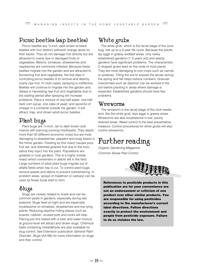### Picnic beetles (sap beetles)

Picnic beetles are 1⁄4-inch, dark brown to black beetles with four distinct yellowish orange spots on their backs. They do not damage fruit directly but are attracted to overly ripe or damaged fruits or vegetables. Melons, tomatoes, strawberries and raspberries are commonly infested. Because these beetles migrate into the garden and are attracted to fermenting fruit and vegetables, the first step in controlling picnic beetles is to remove and destroy overly ripe fruit. In most cases, spraying is ineffective. Beetles will continue to migrate into the garden and delays in harvesting ripe fruit and vegetables due to the waiting period after spraying will increase problems. Place a mixture of one-half water, one-half dark corn syrup, one cake of yeast, and spoonful of vinegar in a container outside the garden. It will attract, trap, and drown adult picnic beetles.

## Plant bugs

Plant bugs are  $\frac{1}{4}$ -inch, tan to dark brown oval insects with piercing sucking mouthparts. They attack more than 50 different economic crops but are most damaging to strawberries, peppers and snap beans in the home garden. Feeding by this insect causes poor fruit set, and distorted gnarled fruit due to the toxic saliva they inject into the plant. Populations are greatest in rural gardens. This is a highly mobile insect which overwinters in debris left in the field. Large numbers of adult plant bugs migrate out of alfalfa fields when hay is cut. To control plant bugs, remove weeds and debris to prevent overwintering. In problem areas, sprays of malathion or carbaryl can be used as flower buds start to form.

## Slugs

Slugs are closely related to snails and can be common pests in gardens, especially during wet seasons. Slugs feed at night and are especially troublesome on tomatoes, strawberries and low-lying plants. Reducing daytime hiding places such as boards, rubbish, unused pots and rocks will help. Placing pie tins baited with a beer and water mixture at ground level will attract and drown slugs. Chemical baits containing metaldehyde are also available for slug control. See Extension publication General Plant Disorder: Slugs (A3186) for more information on slugs and their control.

## White grubs

The white grub, which is the larval stage of the June bug, has up to a 3-year life cycle. Because the adults lay eggs in grassy sodded areas, only newly established gardens (1–3 years old) and weedy gardens have significant problems. The characteristic C-shaped grubs feed on the roots of most plants. They are most damaging to root crops such as carrots or potatoes. Tilling the soil to expose the larvae during the spring and fall helps reduce numbers. Granular insecticides such as diazinon can be worked in the soil before planting in areas where damage is expected. Established gardens should have few problems.

### Wireworms

The wireworm is the larval stage of the click beetle and, like the white grub, lays eggs in grassy areas. Wireworms are also troublesome in low, poorly drained areas. Weed control is the best preventative measure. Control procedures for white grubs will also control wireworms.

## Further reading

Organic Gardening Magazine Common Sense Pest Control



**References to pesticide products in this publication are for your convenience are not an endorsement or criticism of one product over other similar products. You are responsible for using pesticides according to the manufacturer's current label directions. Follow directions exactly to protect the environment and people from pesticide exposure. Failure to do so violates the law.**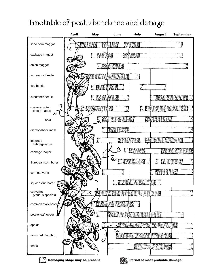## <span id="page-20-0"></span>Timetable of pest abundance and damage